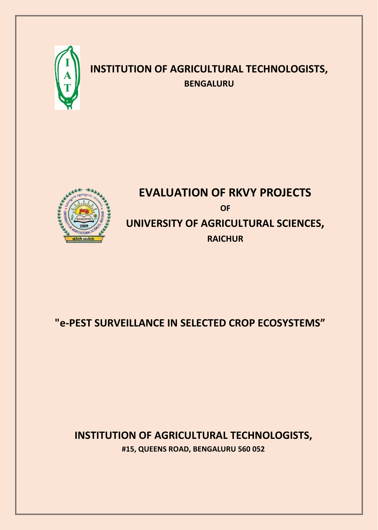

# **INSTITUTION OF AGRICULTURAL TECHNOLOGISTS, BENGALURU**



# **EVALUATION OF RKVY PROJECTS OF UNIVERSITY OF AGRICULTURAL SCIENCES, RAICHUR**

# **"e-PEST SURVEILLANCE IN SELECTED CROP ECOSYSTEMS"**

# **INSTITUTION OF AGRICULTURAL TECHNOLOGISTS, #15, QUEENS ROAD, BENGALURU 560 052**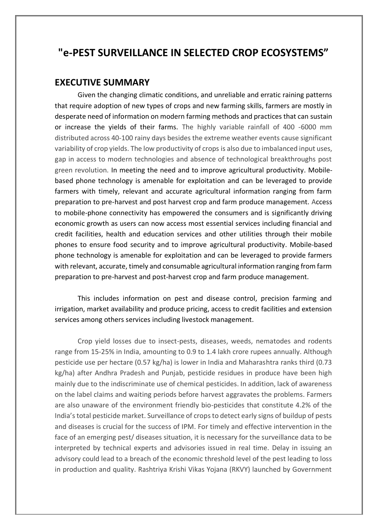## **"e-PEST SURVEILLANCE IN SELECTED CROP ECOSYSTEMS"**

#### **EXECUTIVE SUMMARY**

Given the changing climatic conditions, and unreliable and erratic raining patterns that require adoption of new types of crops and new farming skills, farmers are mostly in desperate need of information on modern farming methods and practices that can sustain or increase the yields of their farms. The highly variable rainfall of 400 -6000 mm distributed across 40-100 rainy days besides the extreme weather events cause significant variability of crop yields. The low productivity of crops is also due to imbalanced input uses, gap in access to modern technologies and absence of technological breakthroughs post green revolution. In meeting the need and to improve agricultural productivity. Mobilebased phone technology is amenable for exploitation and can be leveraged to provide farmers with timely, relevant and accurate agricultural information ranging from farm preparation to pre-harvest and post harvest crop and farm produce management. Access to mobile-phone connectivity has empowered the consumers and is significantly driving economic growth as users can now access most essential services including financial and credit facilities, health and education services and other utilities through their mobile phones to ensure food security and to improve agricultural productivity. Mobile-based phone technology is amenable for exploitation and can be leveraged to provide farmers with relevant, accurate, timely and consumable agricultural information ranging from farm preparation to pre-harvest and post-harvest crop and farm produce management.

This includes information on pest and disease control, precision farming and irrigation, market availability and produce pricing, access to credit facilities and extension services among others services including livestock management.

Crop yield losses due to insect-pests, diseases, weeds, nematodes and rodents range from 15-25% in India, amounting to 0.9 to 1.4 lakh crore rupees annually. Although pesticide use per hectare (0.57 kg/ha) is lower in India and Maharashtra ranks third (0.73 kg/ha) after Andhra Pradesh and Punjab, pesticide residues in produce have been high mainly due to the indiscriminate use of chemical pesticides. In addition, lack of awareness on the label claims and waiting periods before harvest aggravates the problems. Farmers are also unaware of the environment friendly bio-pesticides that constitute 4.2% of the India's total pesticide market. Surveillance of crops to detect early signs of buildup of pests and diseases is crucial for the success of IPM. For timely and effective intervention in the face of an emerging pest/ diseases situation, it is necessary for the surveillance data to be interpreted by technical experts and advisories issued in real time. Delay in issuing an advisory could lead to a breach of the economic threshold level of the pest leading to loss in production and quality. Rashtriya Krishi Vikas Yojana (RKVY) launched by Government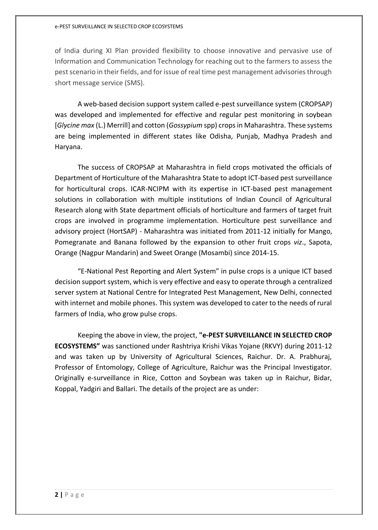#### e-PEST SURVEILLANCE IN SELECTED CROP ECOSYSTEMS

of India during XI Plan provided flexibility to choose innovative and pervasive use of Information and Communication Technology for reaching out to the farmers to assess the pest scenario in their fields, and for issue of real time pest management advisories through short message service (SMS).

A web-based decision support system called e-pest surveillance system (CROPSAP) was developed and implemented for effective and regular pest monitoring in soybean [*Glycine max* (L.) Merrill] and cotton (*Gossypium* spp) crops in Maharashtra. These systems are being implemented in different states like Odisha, Punjab, Madhya Pradesh and Haryana.

The success of CROPSAP at Maharashtra in field crops motivated the officials of Department of Horticulture of the Maharashtra State to adopt ICT-based pest surveillance for horticultural crops. ICAR-NCIPM with its expertise in ICT-based pest management solutions in collaboration with multiple institutions of Indian Council of Agricultural Research along with State department officials of horticulture and farmers of target fruit crops are involved in programme implementation. Horticulture pest surveillance and advisory project (HortSAP) - Maharashtra was initiated from 2011-12 initially for Mango, Pomegranate and Banana followed by the expansion to other fruit crops *viz*., Sapota, Orange (Nagpur Mandarin) and Sweet Orange (Mosambi) since 2014-15.

"E-National Pest Reporting and Alert System" in pulse crops is a unique ICT based decision support system, which is very effective and easy to operate through a centralized server system at National Centre for Integrated Pest Management, New Delhi, connected with internet and mobile phones. This system was developed to cater to the needs of rural farmers of India, who grow pulse crops.

Keeping the above in view, the project, **"e-PEST SURVEILLANCE IN SELECTED CROP ECOSYSTEMS"** was sanctioned under Rashtriya Krishi Vikas Yojane (RKVY) during 2011-12 and was taken up by University of Agricultural Sciences, Raichur. Dr. A. Prabhuraj, Professor of Entomology, College of Agriculture, Raichur was the Principal Investigator. Originally e-surveillance in Rice, Cotton and Soybean was taken up in Raichur, Bidar, Koppal, Yadgiri and Ballari. The details of the project are as under: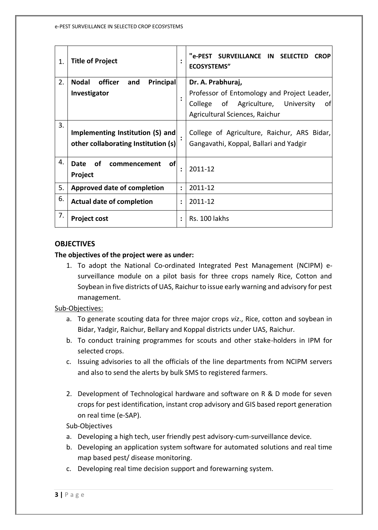| 1. | <b>Title of Project</b>                                                 | $\ddot{\cdot}$       | "e-PEST SURVEILLANCE IN SELECTED<br><b>CROP</b><br><b>ECOSYSTEMS"</b>                                                           |
|----|-------------------------------------------------------------------------|----------------------|---------------------------------------------------------------------------------------------------------------------------------|
| 2. | officer<br>Principal<br><b>Nodal</b><br>and                             |                      | Dr. A. Prabhuraj,                                                                                                               |
|    | Investigator                                                            | $\ddot{\cdot}$       | Professor of Entomology and Project Leader,<br>of Agriculture,<br>University<br>College<br>of<br>Agricultural Sciences, Raichur |
| 3. | Implementing Institution (S) and<br>other collaborating Institution (s) |                      | College of Agriculture, Raichur, ARS Bidar,<br>Gangavathi, Koppal, Ballari and Yadgir                                           |
| 4. | of<br><b>of</b><br>Date<br>commencement<br>Project                      | ፡                    | 2011-12                                                                                                                         |
| 5. | Approved date of completion                                             | $\ddot{\phantom{a}}$ | 2011-12                                                                                                                         |
| 6. | <b>Actual date of completion</b>                                        | $\ddot{\cdot}$       | 2011-12                                                                                                                         |
| 7. | <b>Project cost</b>                                                     | $\ddot{\cdot}$       | Rs. 100 lakhs                                                                                                                   |

#### **OBJECTIVES**

#### **The objectives of the project were as under:**

1. To adopt the National Co-ordinated Integrated Pest Management (NCIPM) esurveillance module on a pilot basis for three crops namely Rice, Cotton and Soybean in five districts of UAS, Raichur to issue early warning and advisory for pest management.

#### Sub-Objectives:

- a. To generate scouting data for three major crops *viz*., Rice, cotton and soybean in Bidar, Yadgir, Raichur, Bellary and Koppal districts under UAS, Raichur.
- b. To conduct training programmes for scouts and other stake-holders in IPM for selected crops.
- c. Issuing advisories to all the officials of the line departments from NCIPM servers and also to send the alerts by bulk SMS to registered farmers.
- 2. Development of Technological hardware and software on R & D mode for seven crops for pest identification, instant crop advisory and GIS based report generation on real time (e-SAP).

#### Sub-Objectives

- a. Developing a high tech, user friendly pest advisory-cum-surveillance device.
- b. Developing an application system software for automated solutions and real time map based pest/ disease monitoring.
- c. Developing real time decision support and forewarning system.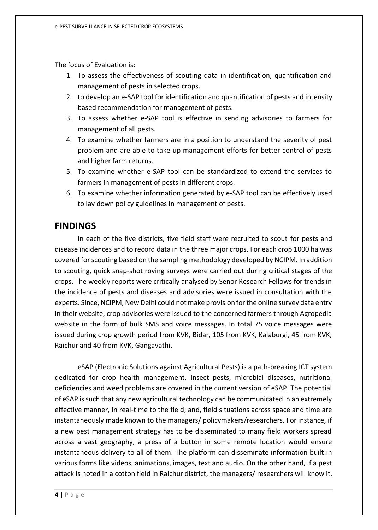The focus of Evaluation is:

- 1. To assess the effectiveness of scouting data in identification, quantification and management of pests in selected crops.
- 2. to develop an e-SAP tool for identification and quantification of pests and intensity based recommendation for management of pests.
- 3. To assess whether e-SAP tool is effective in sending advisories to farmers for management of all pests.
- 4. To examine whether farmers are in a position to understand the severity of pest problem and are able to take up management efforts for better control of pests and higher farm returns.
- 5. To examine whether e-SAP tool can be standardized to extend the services to farmers in management of pests in different crops.
- 6. To examine whether information generated by e-SAP tool can be effectively used to lay down policy guidelines in management of pests.

### **FINDINGS**

In each of the five districts, five field staff were recruited to scout for pests and disease incidences and to record data in the three major crops. For each crop 1000 ha was covered for scouting based on the sampling methodology developed by NCIPM. In addition to scouting, quick snap-shot roving surveys were carried out during critical stages of the crops. The weekly reports were critically analysed by Senor Research Fellows for trends in the incidence of pests and diseases and advisories were issued in consultation with the experts. Since, NCIPM, New Delhi could not make provision for the online survey data entry in their website, crop advisories were issued to the concerned farmers through Agropedia website in the form of bulk SMS and voice messages. In total 75 voice messages were issued during crop growth period from KVK, Bidar, 105 from KVK, Kalaburgi, 45 from KVK, Raichur and 40 from KVK, Gangavathi.

eSAP (Electronic Solutions against Agricultural Pests) is a path-breaking ICT system dedicated for crop health management. Insect pests, microbial diseases, nutritional deficiencies and weed problems are covered in the current version of eSAP. The potential of eSAP is such that any new agricultural technology can be communicated in an extremely effective manner, in real-time to the field; and, field situations across space and time are instantaneously made known to the managers/ policymakers/researchers. For instance, if a new pest management strategy has to be disseminated to many field workers spread across a vast geography, a press of a button in some remote location would ensure instantaneous delivery to all of them. The platform can disseminate information built in various forms like videos, animations, images, text and audio. On the other hand, if a pest attack is noted in a cotton field in Raichur district, the managers/ researchers will know it,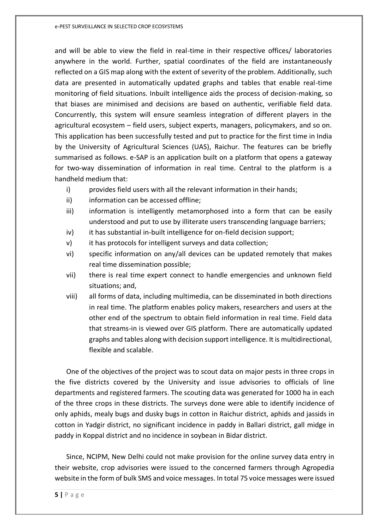e-PEST SURVEILLANCE IN SELECTED CROP ECOSYSTEMS

and will be able to view the field in real-time in their respective offices/ laboratories anywhere in the world. Further, spatial coordinates of the field are instantaneously reflected on a GIS map along with the extent of severity of the problem. Additionally, such data are presented in automatically updated graphs and tables that enable real-time monitoring of field situations. Inbuilt intelligence aids the process of decision-making, so that biases are minimised and decisions are based on authentic, verifiable field data. Concurrently, this system will ensure seamless integration of different players in the agricultural ecosystem – field users, subject experts, managers, policymakers, and so on. This application has been successfully tested and put to practice for the first time in India by the University of Agricultural Sciences (UAS), Raichur. The features can be briefly summarised as follows. e-SAP is an application built on a platform that opens a gateway for two-way dissemination of information in real time. Central to the platform is a handheld medium that:

- i) provides field users with all the relevant information in their hands;
- ii) information can be accessed offline;
- iii) information is intelligently metamorphosed into a form that can be easily understood and put to use by illiterate users transcending language barriers;
- iv) it has substantial in-built intelligence for on-field decision support;
- v) it has protocols for intelligent surveys and data collection;
- vi) specific information on any/all devices can be updated remotely that makes real time dissemination possible;
- vii) there is real time expert connect to handle emergencies and unknown field situations; and,
- viii) all forms of data, including multimedia, can be disseminated in both directions in real time. The platform enables policy makers, researchers and users at the other end of the spectrum to obtain field information in real time. Field data that streams-in is viewed over GIS platform. There are automatically updated graphs and tables along with decision support intelligence. It is multidirectional, flexible and scalable.

One of the objectives of the project was to scout data on major pests in three crops in the five districts covered by the University and issue advisories to officials of line departments and registered farmers. The scouting data was generated for 1000 ha in each of the three crops in these districts. The surveys done were able to identify incidence of only aphids, mealy bugs and dusky bugs in cotton in Raichur district, aphids and jassids in cotton in Yadgir district, no significant incidence in paddy in Ballari district, gall midge in paddy in Koppal district and no incidence in soybean in Bidar district.

Since, NCIPM, New Delhi could not make provision for the online survey data entry in their website, crop advisories were issued to the concerned farmers through Agropedia website in the form of bulk SMS and voice messages. In total 75 voice messages were issued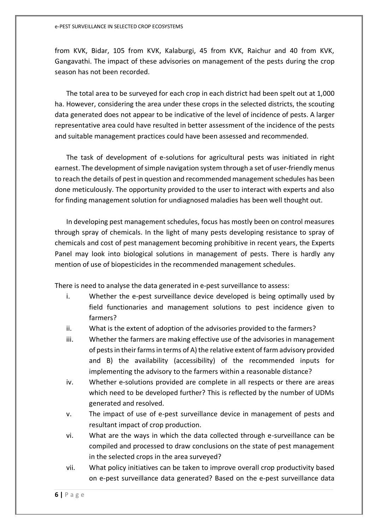from KVK, Bidar, 105 from KVK, Kalaburgi, 45 from KVK, Raichur and 40 from KVK, Gangavathi. The impact of these advisories on management of the pests during the crop season has not been recorded.

The total area to be surveyed for each crop in each district had been spelt out at 1,000 ha. However, considering the area under these crops in the selected districts, the scouting data generated does not appear to be indicative of the level of incidence of pests. A larger representative area could have resulted in better assessment of the incidence of the pests and suitable management practices could have been assessed and recommended.

The task of development of e-solutions for agricultural pests was initiated in right earnest. The development of simple navigation system through a set of user-friendly menus to reach the details of pest in question and recommended management schedules has been done meticulously. The opportunity provided to the user to interact with experts and also for finding management solution for undiagnosed maladies has been well thought out.

In developing pest management schedules, focus has mostly been on control measures through spray of chemicals. In the light of many pests developing resistance to spray of chemicals and cost of pest management becoming prohibitive in recent years, the Experts Panel may look into biological solutions in management of pests. There is hardly any mention of use of biopesticides in the recommended management schedules.

There is need to analyse the data generated in e-pest surveillance to assess:

- i. Whether the e-pest surveillance device developed is being optimally used by field functionaries and management solutions to pest incidence given to farmers?
- ii. What is the extent of adoption of the advisories provided to the farmers?
- iii. Whether the farmers are making effective use of the advisories in management of pests in their farms in terms of A) the relative extent of farm advisory provided and B) the availability (accessibility) of the recommended inputs for implementing the advisory to the farmers within a reasonable distance?
- iv. Whether e-solutions provided are complete in all respects or there are areas which need to be developed further? This is reflected by the number of UDMs generated and resolved.
- v. The impact of use of e-pest surveillance device in management of pests and resultant impact of crop production.
- vi. What are the ways in which the data collected through e-surveillance can be compiled and processed to draw conclusions on the state of pest management in the selected crops in the area surveyed?
- vii. What policy initiatives can be taken to improve overall crop productivity based on e-pest surveillance data generated? Based on the e-pest surveillance data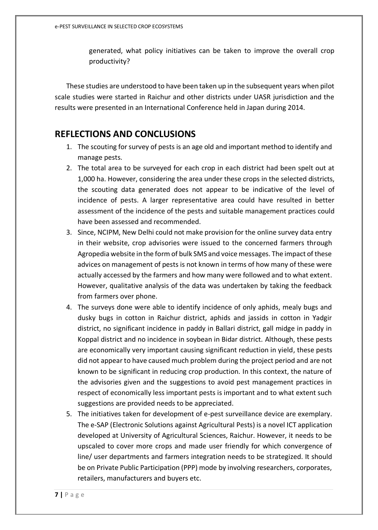generated, what policy initiatives can be taken to improve the overall crop productivity?

These studies are understood to have been taken up in the subsequent years when pilot scale studies were started in Raichur and other districts under UASR jurisdiction and the results were presented in an International Conference held in Japan during 2014.

### **REFLECTIONS AND CONCLUSIONS**

- 1. The scouting for survey of pests is an age old and important method to identify and manage pests.
- 2. The total area to be surveyed for each crop in each district had been spelt out at 1,000 ha. However, considering the area under these crops in the selected districts, the scouting data generated does not appear to be indicative of the level of incidence of pests. A larger representative area could have resulted in better assessment of the incidence of the pests and suitable management practices could have been assessed and recommended.
- 3. Since, NCIPM, New Delhi could not make provision for the online survey data entry in their website, crop advisories were issued to the concerned farmers through Agropedia website in the form of bulk SMS and voice messages. The impact of these advices on management of pests is not known in terms of how many of these were actually accessed by the farmers and how many were followed and to what extent. However, qualitative analysis of the data was undertaken by taking the feedback from farmers over phone.
- 4. The surveys done were able to identify incidence of only aphids, mealy bugs and dusky bugs in cotton in Raichur district, aphids and jassids in cotton in Yadgir district, no significant incidence in paddy in Ballari district, gall midge in paddy in Koppal district and no incidence in soybean in Bidar district. Although, these pests are economically very important causing significant reduction in yield, these pests did not appear to have caused much problem during the project period and are not known to be significant in reducing crop production. In this context, the nature of the advisories given and the suggestions to avoid pest management practices in respect of economically less important pests is important and to what extent such suggestions are provided needs to be appreciated.
- 5. The initiatives taken for development of e-pest surveillance device are exemplary. The e-SAP (Electronic Solutions against Agricultural Pests) is a novel ICT application developed at University of Agricultural Sciences, Raichur. However, it needs to be upscaled to cover more crops and made user friendly for which convergence of line/ user departments and farmers integration needs to be strategized. It should be on Private Public Participation (PPP) mode by involving researchers, corporates, retailers, manufacturers and buyers etc.